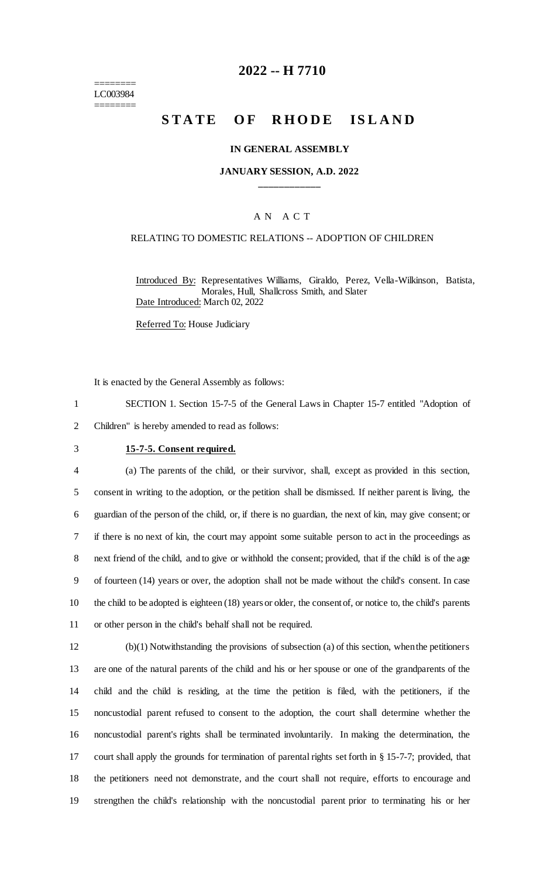======== LC003984 ========

## **2022 -- H 7710**

# **STATE OF RHODE ISLAND**

#### **IN GENERAL ASSEMBLY**

#### **JANUARY SESSION, A.D. 2022 \_\_\_\_\_\_\_\_\_\_\_\_**

### A N A C T

#### RELATING TO DOMESTIC RELATIONS -- ADOPTION OF CHILDREN

Introduced By: Representatives Williams, Giraldo, Perez, Vella-Wilkinson, Batista, Morales, Hull, Shallcross Smith, and Slater Date Introduced: March 02, 2022

Referred To: House Judiciary

It is enacted by the General Assembly as follows:

1 SECTION 1. Section 15-7-5 of the General Laws in Chapter 15-7 entitled "Adoption of 2 Children" is hereby amended to read as follows:

#### 3 **15-7-5. Consent required.**

 (a) The parents of the child, or their survivor, shall, except as provided in this section, consent in writing to the adoption, or the petition shall be dismissed. If neither parent is living, the guardian of the person of the child, or, if there is no guardian, the next of kin, may give consent; or if there is no next of kin, the court may appoint some suitable person to act in the proceedings as next friend of the child, and to give or withhold the consent; provided, that if the child is of the age of fourteen (14) years or over, the adoption shall not be made without the child's consent. In case the child to be adopted is eighteen (18) years or older, the consent of, or notice to, the child's parents or other person in the child's behalf shall not be required.

 (b)(1) Notwithstanding the provisions of subsection (a) of this section, when the petitioners are one of the natural parents of the child and his or her spouse or one of the grandparents of the child and the child is residing, at the time the petition is filed, with the petitioners, if the noncustodial parent refused to consent to the adoption, the court shall determine whether the noncustodial parent's rights shall be terminated involuntarily. In making the determination, the court shall apply the grounds for termination of parental rights set forth in § 15-7-7; provided, that the petitioners need not demonstrate, and the court shall not require, efforts to encourage and strengthen the child's relationship with the noncustodial parent prior to terminating his or her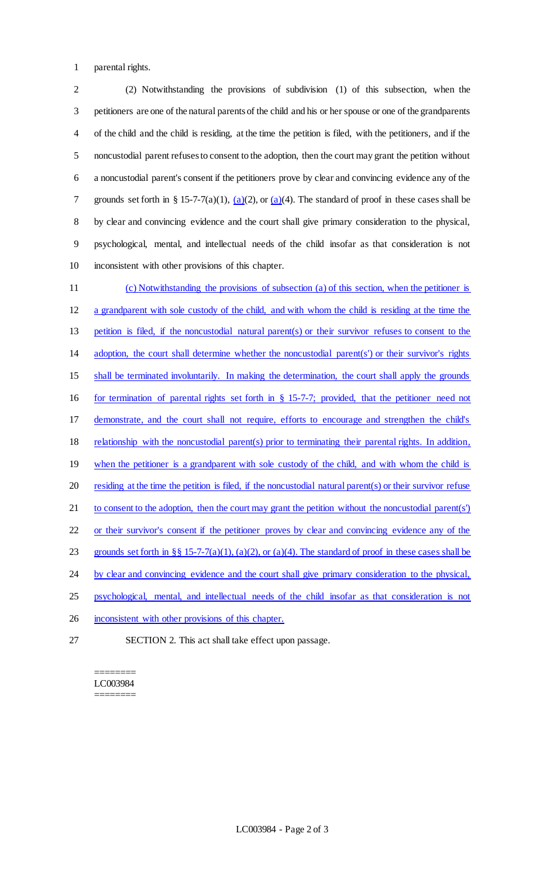parental rights.

 (2) Notwithstanding the provisions of subdivision (1) of this subsection, when the petitioners are one of the natural parents of the child and his or her spouse or one of the grandparents of the child and the child is residing, at the time the petition is filed, with the petitioners, and if the noncustodial parent refuses to consent to the adoption, then the court may grant the petition without a noncustodial parent's consent if the petitioners prove by clear and convincing evidence any of the 7 grounds set forth in § 15-7-7(a)(1),  $(a)(2)$ , or  $(a)(4)$ . The standard of proof in these cases shall be by clear and convincing evidence and the court shall give primary consideration to the physical, psychological, mental, and intellectual needs of the child insofar as that consideration is not inconsistent with other provisions of this chapter.

 (c) Notwithstanding the provisions of subsection (a) of this section, when the petitioner is a grandparent with sole custody of the child, and with whom the child is residing at the time the petition is filed, if the noncustodial natural parent(s) or their survivor refuses to consent to the adoption, the court shall determine whether the noncustodial parent(s') or their survivor's rights shall be terminated involuntarily. In making the determination, the court shall apply the grounds for termination of parental rights set forth in § 15-7-7; provided, that the petitioner need not demonstrate, and the court shall not require, efforts to encourage and strengthen the child's relationship with the noncustodial parent(s) prior to terminating their parental rights. In addition, 19 when the petitioner is a grandparent with sole custody of the child, and with whom the child is residing at the time the petition is filed, if the noncustodial natural parent(s) or their survivor refuse 21 to consent to the adoption, then the court may grant the petition without the noncustodial parent(s') or their survivor's consent if the petitioner proves by clear and convincing evidence any of the 23 grounds set forth in §§ 15-7-7(a)(1), (a)(2), or (a)(4). The standard of proof in these cases shall be 24 by clear and convincing evidence and the court shall give primary consideration to the physical, psychological, mental, and intellectual needs of the child insofar as that consideration is not 26 inconsistent with other provisions of this chapter.

SECTION 2. This act shall take effect upon passage.

======== LC003984 ========